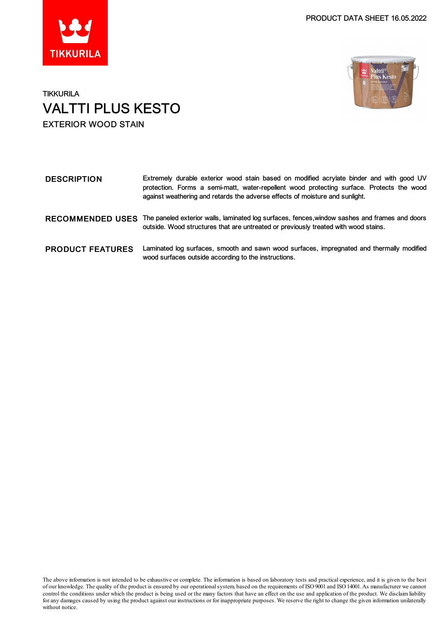



### **TIKKURILA** VALTTI PLUS KESTO EXTERIOR WOOD STAIN

| <b>DESCRIPTION</b>      | Extremely durable exterior wood stain based on modified acrylate binder and with good UV<br>protection. Forms a semi-matt, water-repellent wood protecting surface. Protects the wood<br>against weathering and retards the adverse effects of moisture and sunlight. |
|-------------------------|-----------------------------------------------------------------------------------------------------------------------------------------------------------------------------------------------------------------------------------------------------------------------|
| <b>RECOMMENDED USES</b> | The paneled exterior walls, laminated log surfaces, fences, window sashes and frames and doors<br>outside. Wood structures that are untreated or previously treated with wood stains.                                                                                 |
| <b>PRODUCT FEATURES</b> | Laminated log surfaces, smooth and sawn wood surfaces, impregnated and thermally modified<br>wood surfaces outside according to the instructions.                                                                                                                     |

The above information is not intended to be exhaustive or complete. The information is based on laboratory tests and practical experience, and it is given to the best of our knowledge. The quality of the product is ensured by our operationalsystem, based on the requirements of ISO9001 and ISO14001.As manufacturer we cannot control the conditions under which the product is being used or the many factors that have an effect on the use and application of the product. We disclaimliability for any damages caused by using the product against our instructions or for inappropriate purposes. We reserve the right to change the given information unilaterally without notice.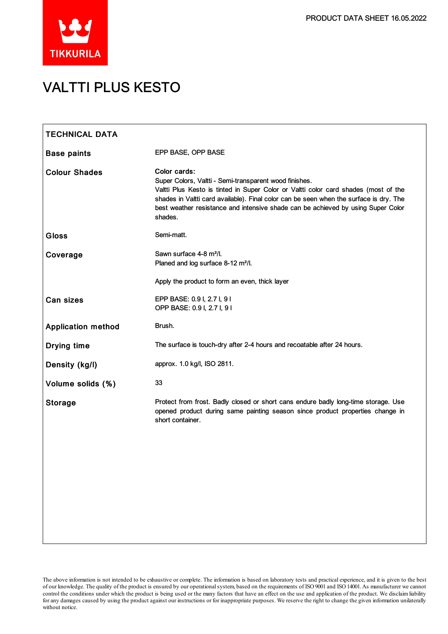

## VALTTI PLUS KESTO

| <b>TECHNICAL DATA</b>     |                                                                                                                                                                                                                                                                                                                                                        |
|---------------------------|--------------------------------------------------------------------------------------------------------------------------------------------------------------------------------------------------------------------------------------------------------------------------------------------------------------------------------------------------------|
| <b>Base paints</b>        | EPP BASE, OPP BASE                                                                                                                                                                                                                                                                                                                                     |
| <b>Colour Shades</b>      | Color cards:<br>Super Colors, Valtti - Semi-transparent wood finishes.<br>Valtti Plus Kesto is tinted in Super Color or Valtti color card shades (most of the<br>shades in Valtti card available). Final color can be seen when the surface is dry. The<br>best weather resistance and intensive shade can be achieved by using Super Color<br>shades. |
| <b>Gloss</b>              | Semi-matt.                                                                                                                                                                                                                                                                                                                                             |
| Coverage                  | Sawn surface 4-8 m <sup>2</sup> /l.<br>Planed and log surface 8-12 m <sup>2</sup> /l.                                                                                                                                                                                                                                                                  |
|                           | Apply the product to form an even, thick layer                                                                                                                                                                                                                                                                                                         |
| <b>Can sizes</b>          | EPP BASE: 0.9 I, 2.7 I, 9 I<br>OPP BASE: 0.9 I, 2.7 I, 9 I                                                                                                                                                                                                                                                                                             |
| <b>Application method</b> | Brush.                                                                                                                                                                                                                                                                                                                                                 |
| Drying time               | The surface is touch-dry after 2-4 hours and recoatable after 24 hours.                                                                                                                                                                                                                                                                                |
| Density (kg/l)            | approx. 1.0 kg/l, ISO 2811.                                                                                                                                                                                                                                                                                                                            |
| Volume solids (%)         | 33                                                                                                                                                                                                                                                                                                                                                     |
| <b>Storage</b>            | Protect from frost. Badly closed or short cans endure badly long-time storage. Use<br>opened product during same painting season since product properties change in<br>short container.                                                                                                                                                                |
|                           |                                                                                                                                                                                                                                                                                                                                                        |
|                           |                                                                                                                                                                                                                                                                                                                                                        |
|                           |                                                                                                                                                                                                                                                                                                                                                        |
|                           |                                                                                                                                                                                                                                                                                                                                                        |
|                           |                                                                                                                                                                                                                                                                                                                                                        |

The above information is not intended to be exhaustive or complete. The information is based on laboratory tests and practical experience, and it is given to the best of our knowledge. The quality of the product is ensured by our operationalsystem, based on the requirements of ISO9001 and ISO14001.As manufacturer we cannot control the conditions under which the product is being used or the many factors that have an effect on the use and application of the product. We disclaimliability forany damages caused by using the product against our instructions or for inappropriate purposes. We reserve the right to change the given information unilaterally without notice.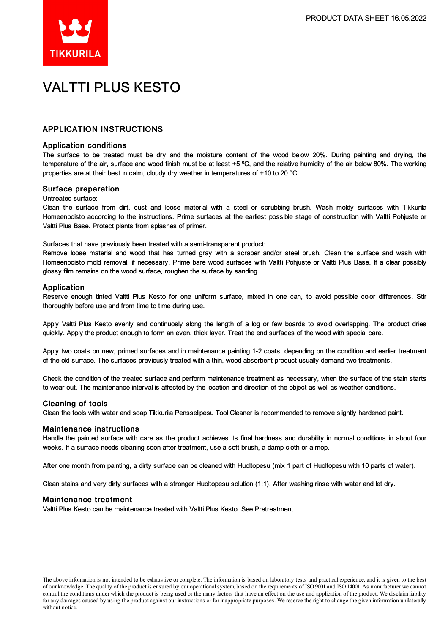

# VALTTI PLUS KESTO

### APPLICATION INSTRUCTIONS

#### Application conditions

The surface to be treated must be dry and the moisture content of the wood below 20%. During painting and drying, the temperature of the air, surface and wood finish must be at least +5 °C, and the relative humidity of the air below 80%. The working properties are at their best in calm, cloudy dry weather in temperatures of +10 to 20 °C.

#### Surface preparation

#### Untreated surface:

Clean the surface from dirt, dust and loose material with a steel or scrubbing brush. Wash moldy surfaces with Tikkurila Homeenpoisto according to the instructions. Prime surfaces at the earliest possible stage of construction with Valtti Pohjuste or Valtti Plus Base. Protect plants from splashes of primer.

Surfaces that have previously been treated with a semi-transparent product:

Remove loose material and wood that has turned gray with a scraper and/or steel brush. Clean the surface and wash with Homeenpoisto mold removal, if necessary. Prime bare wood surfaces with Valtti Pohjuste or Valtti Plus Base. If a clear possibly glossy film remains on the wood surface, roughen the surface by sanding.

#### Application

Reserve enough tinted Valtti Plus Kesto for one uniform surface, mixed in one can, to avoid possible color differences. Stir thoroughly before use and from time to time during use.

Apply Valtti Plus Kesto evenly and continuosly along the length of a log or few boards to avoid overlapping. The product dries quickly. Apply the product enough to form an even, thick layer. Treat the end surfaces of the wood with special care.

Apply two coats on new, primed surfaces and in maintenance painting 1-2 coats, depending on the condition and earlier treatment of the old surface. The surfaces previously treated with a thin, wood absorbent product usually demand two treatments.

Check the condition of the treated surface and perform maintenance treatment as necessary, when the surface of the stain starts to wear out. The maintenance interval is affected by the location and direction of the object as well as weather conditions.

#### Cleaning of tools

Clean the tools with water and soap Tikkurila Pensselipesu Tool Cleaner is recommended to remove slightly hardened paint.

#### Maintenance instructions

Handle the painted surface with care as the product achieves its final hardness and durability in normal conditions in about four weeks. If a surface needs cleaning soon after treatment, use a soft brush, a damp cloth or a mop.

After one month from painting, a dirty surface can be cleaned with Huoltopesu (mix 1 part of Huoltopesu with 10 parts of water).

Clean stains and very dirty surfaces with a stronger Huoltopesu solution (1:1). After washing rinse with water and let dry.

#### Maintenance treatment

Valtti Plus Kesto can be maintenance treated with Valtti Plus Kesto. See Pretreatment.

The above information is not intended to be exhaustive or complete. The information is based on laboratory tests and practical experience, and it is given to the best of our knowledge. The quality of the product is ensured by our operationalsystem, based on the requirements of ISO9001 and ISO14001.As manufacturer we cannot control the conditions under which the product is being used or the many factors that have an effect on the use and application of the product. We disclaimliability forany damages caused by using the product against our instructions or for inappropriate purposes. We reserve the right to change the given information unilaterally without notice.